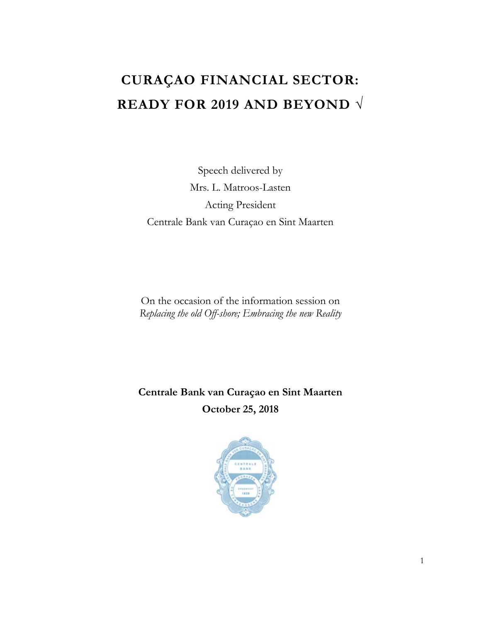## **CURAÇAO FINANCIAL SECTOR: READY FOR 2019 AND BEYOND √**

Speech delivered by Mrs. L. Matroos-Lasten Acting President Centrale Bank van Curaçao en Sint Maarten

On the occasion of the information session on *Replacing the old Off-shore; Embracing the new Reality*

**Centrale Bank van Curaçao en Sint Maarten October 25, 2018**

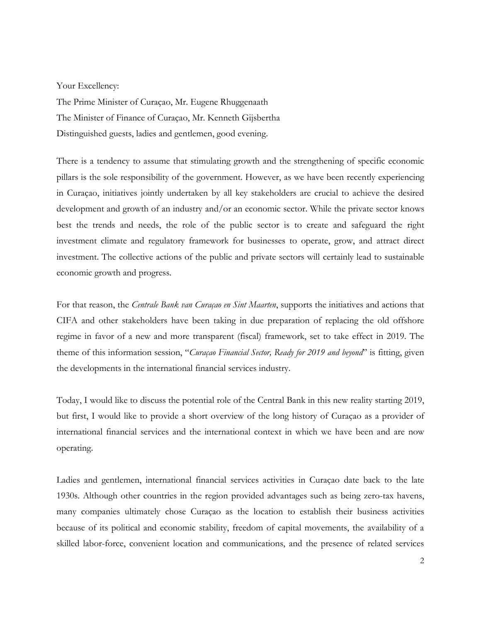Your Excellency:

The Prime Minister of Curaçao, Mr. Eugene Rhuggenaath The Minister of Finance of Curaçao, Mr. Kenneth Gijsbertha Distinguished guests, ladies and gentlemen, good evening.

There is a tendency to assume that stimulating growth and the strengthening of specific economic pillars is the sole responsibility of the government. However, as we have been recently experiencing in Curaçao, initiatives jointly undertaken by all key stakeholders are crucial to achieve the desired development and growth of an industry and/or an economic sector. While the private sector knows best the trends and needs, the role of the public sector is to create and safeguard the right investment climate and regulatory framework for businesses to operate, grow, and attract direct investment. The collective actions of the public and private sectors will certainly lead to sustainable economic growth and progress.

For that reason, the *Centrale Bank van Curaçao en Sint Maarten*, supports the initiatives and actions that CIFA and other stakeholders have been taking in due preparation of replacing the old offshore regime in favor of a new and more transparent (fiscal) framework, set to take effect in 2019. The theme of this information session, "*Curaçao Financial Sector, Ready for 2019 and beyond*" is fitting, given the developments in the international financial services industry.

Today, I would like to discuss the potential role of the Central Bank in this new reality starting 2019, but first, I would like to provide a short overview of the long history of Curaçao as a provider of international financial services and the international context in which we have been and are now operating.

Ladies and gentlemen, international financial services activities in Curaçao date back to the late 1930s. Although other countries in the region provided advantages such as being zero-tax havens, many companies ultimately chose Curaçao as the location to establish their business activities because of its political and economic stability, freedom of capital movements, the availability of a skilled labor-force, convenient location and communications, and the presence of related services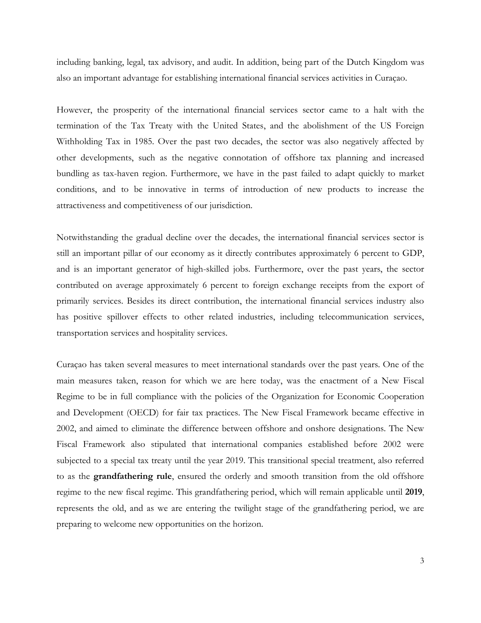including banking, legal, tax advisory, and audit. In addition, being part of the Dutch Kingdom was also an important advantage for establishing international financial services activities in Curaçao.

However, the prosperity of the international financial services sector came to a halt with the termination of the Tax Treaty with the United States, and the abolishment of the US Foreign Withholding Tax in 1985. Over the past two decades, the sector was also negatively affected by other developments, such as the negative connotation of offshore tax planning and increased bundling as tax-haven region. Furthermore, we have in the past failed to adapt quickly to market conditions, and to be innovative in terms of introduction of new products to increase the attractiveness and competitiveness of our jurisdiction.

Notwithstanding the gradual decline over the decades, the international financial services sector is still an important pillar of our economy as it directly contributes approximately 6 percent to GDP, and is an important generator of high-skilled jobs. Furthermore, over the past years, the sector contributed on average approximately 6 percent to foreign exchange receipts from the export of primarily services. Besides its direct contribution, the international financial services industry also has positive spillover effects to other related industries, including telecommunication services, transportation services and hospitality services.

Curaçao has taken several measures to meet international standards over the past years. One of the main measures taken, reason for which we are here today, was the enactment of a New Fiscal Regime to be in full compliance with the policies of the Organization for Economic Cooperation and Development (OECD) for fair tax practices. The New Fiscal Framework became effective in 2002, and aimed to eliminate the difference between offshore and onshore designations. The New Fiscal Framework also stipulated that international companies established before 2002 were subjected to a special tax treaty until the year 2019. This transitional special treatment, also referred to as the **grandfathering rule**, ensured the orderly and smooth transition from the old offshore regime to the new fiscal regime. This grandfathering period, which will remain applicable until **2019**, represents the old, and as we are entering the twilight stage of the grandfathering period, we are preparing to welcome new opportunities on the horizon.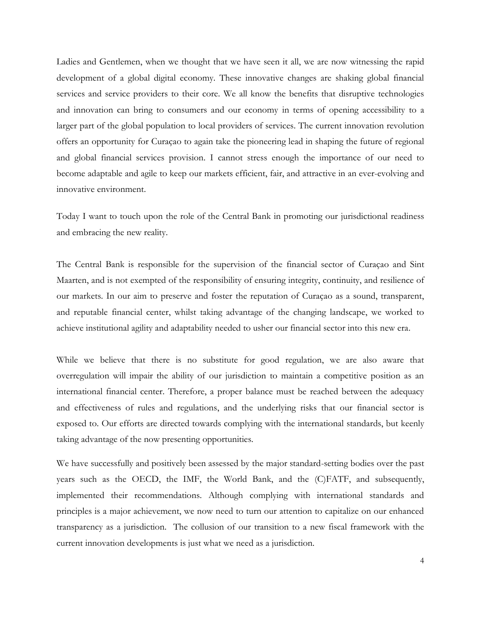Ladies and Gentlemen, when we thought that we have seen it all, we are now witnessing the rapid development of a global digital economy. These innovative changes are shaking global financial services and service providers to their core. We all know the benefits that disruptive technologies and innovation can bring to consumers and our economy in terms of opening accessibility to a larger part of the global population to local providers of services. The current innovation revolution offers an opportunity for Curaçao to again take the pioneering lead in shaping the future of regional and global financial services provision. I cannot stress enough the importance of our need to become adaptable and agile to keep our markets efficient, fair, and attractive in an ever-evolving and innovative environment.

Today I want to touch upon the role of the Central Bank in promoting our jurisdictional readiness and embracing the new reality.

The Central Bank is responsible for the supervision of the financial sector of Curaçao and Sint Maarten, and is not exempted of the responsibility of ensuring integrity, continuity, and resilience of our markets. In our aim to preserve and foster the reputation of Curaçao as a sound, transparent, and reputable financial center, whilst taking advantage of the changing landscape, we worked to achieve institutional agility and adaptability needed to usher our financial sector into this new era.

While we believe that there is no substitute for good regulation, we are also aware that overregulation will impair the ability of our jurisdiction to maintain a competitive position as an international financial center. Therefore, a proper balance must be reached between the adequacy and effectiveness of rules and regulations, and the underlying risks that our financial sector is exposed to. Our efforts are directed towards complying with the international standards, but keenly taking advantage of the now presenting opportunities.

We have successfully and positively been assessed by the major standard-setting bodies over the past years such as the OECD, the IMF, the World Bank, and the (C)FATF, and subsequently, implemented their recommendations. Although complying with international standards and principles is a major achievement, we now need to turn our attention to capitalize on our enhanced transparency as a jurisdiction. The collusion of our transition to a new fiscal framework with the current innovation developments is just what we need as a jurisdiction.